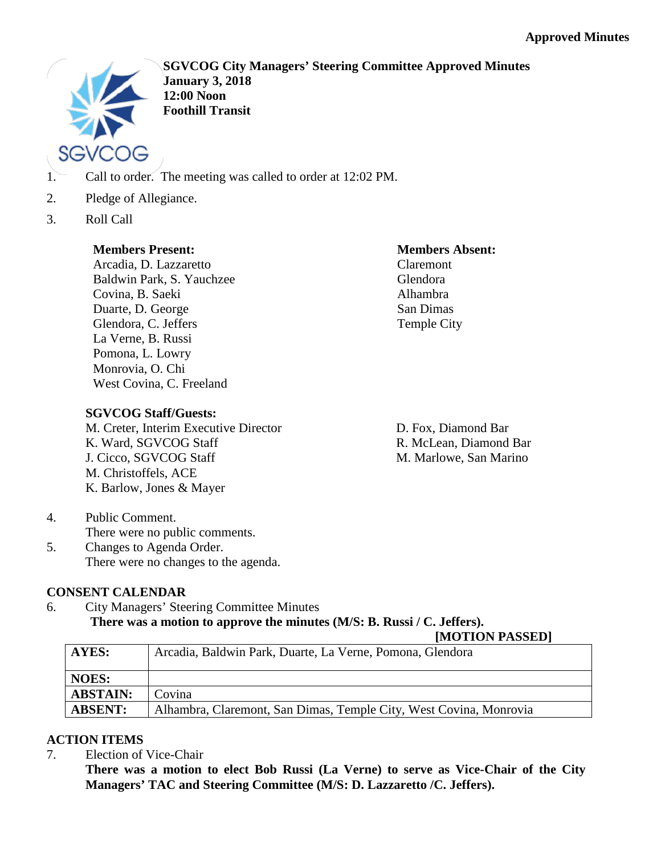

**SGVCOG City Managers' Steering Committee Approved Minutes January 3, 2018 12:00 Noon Foothill Transit**

- 1. Call to order. The meeting was called to order at 12:02 PM.
- 2. Pledge of Allegiance.
- 3. Roll Call

# **Members Present:**

Arcadia, D. Lazzaretto Baldwin Park, S. Yauchzee Covina, B. Saeki Duarte, D. George Glendora, C. Jeffers La Verne, B. Russi Pomona, L. Lowry Monrovia, O. Chi West Covina, C. Freeland

# **Members Absent:** Claremont Glendora Alhambra San Dimas

Temple City

**SGVCOG Staff/Guests:**

M. Creter, Interim Executive Director K. Ward, SGVCOG Staff J. Cicco, SGVCOG Staff M. Christoffels, ACE K. Barlow, Jones & Mayer

D. Fox, Diamond Bar R. McLean, Diamond Bar M. Marlowe, San Marino

4. Public Comment. There were no public comments. 5. Changes to Agenda Order. There were no changes to the agenda.

# **CONSENT CALENDAR**

6. City Managers' Steering Committee Minutes **There was a motion to approve the minutes (M/S: B. Russi / C. Jeffers).**

# **[MOTION PASSED]**

| AYES:           | Arcadia, Baldwin Park, Duarte, La Verne, Pomona, Glendora          |
|-----------------|--------------------------------------------------------------------|
| <b>NOES:</b>    |                                                                    |
| <b>ABSTAIN:</b> | Covina                                                             |
| <b>ABSENT:</b>  | Alhambra, Claremont, San Dimas, Temple City, West Covina, Monrovia |

# **ACTION ITEMS**

7. Election of Vice-Chair

**There was a motion to elect Bob Russi (La Verne) to serve as Vice-Chair of the City Managers' TAC and Steering Committee (M/S: D. Lazzaretto /C. Jeffers).**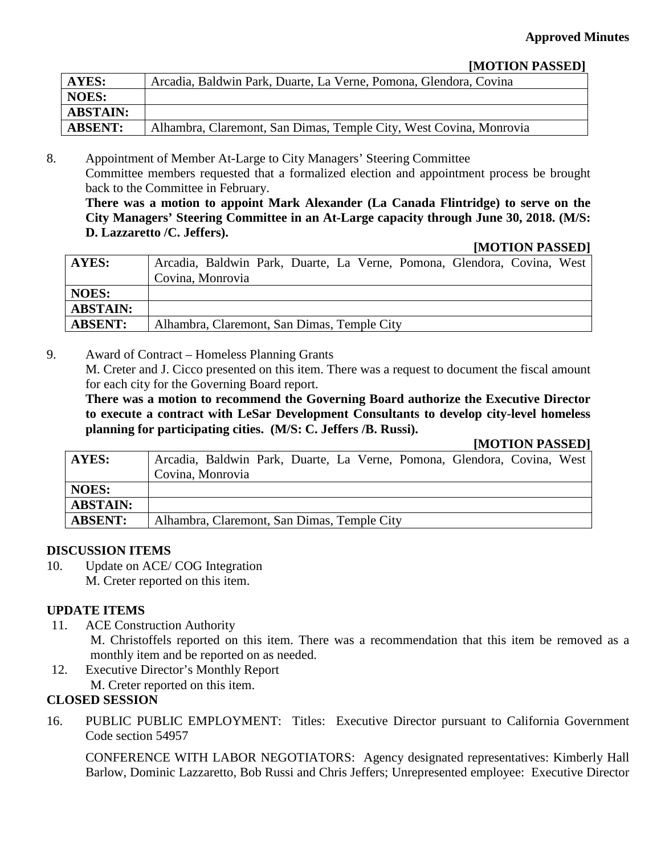# **[MOTION PASSED]**

| <b>AYES:</b>    | Arcadia, Baldwin Park, Duarte, La Verne, Pomona, Glendora, Covina  |
|-----------------|--------------------------------------------------------------------|
| <b>NOES:</b>    |                                                                    |
| <b>ABSTAIN:</b> |                                                                    |
| <b>ABSENT:</b>  | Alhambra, Claremont, San Dimas, Temple City, West Covina, Monrovia |

8. Appointment of Member At-Large to City Managers' Steering Committee Committee members requested that a formalized election and appointment process be brought back to the Committee in February.

**There was a motion to appoint Mark Alexander (La Canada Flintridge) to serve on the City Managers' Steering Committee in an At-Large capacity through June 30, 2018. (M/S: D. Lazzaretto /C. Jeffers).**

#### **[MOTION PASSED]**

| AYES:           | Arcadia, Baldwin Park, Duarte, La Verne, Pomona, Glendora, Covina, West |
|-----------------|-------------------------------------------------------------------------|
|                 | Covina, Monrovia                                                        |
| <b>NOES:</b>    |                                                                         |
| <b>ABSTAIN:</b> |                                                                         |
| <b>ABSENT:</b>  | Alhambra, Claremont, San Dimas, Temple City                             |

9. Award of Contract – Homeless Planning Grants

M. Creter and J. Cicco presented on this item. There was a request to document the fiscal amount for each city for the Governing Board report.

**There was a motion to recommend the Governing Board authorize the Executive Director to execute a contract with LeSar Development Consultants to develop city-level homeless planning for participating cities. (M/S: C. Jeffers /B. Russi).**

# **[MOTION PASSED]**

| AYES:           | Arcadia, Baldwin Park, Duarte, La Verne, Pomona, Glendora, Covina, West |
|-----------------|-------------------------------------------------------------------------|
|                 | Covina, Monrovia                                                        |
| <b>NOES:</b>    |                                                                         |
| <b>ABSTAIN:</b> |                                                                         |
| <b>ABSENT:</b>  | Alhambra, Claremont, San Dimas, Temple City                             |

# **DISCUSSION ITEMS**

10. Update on ACE/ COG Integration M. Creter reported on this item.

# **UPDATE ITEMS**

- 11. ACE Construction Authority M. Christoffels reported on this item. There was a recommendation that this item be removed as a monthly item and be reported on as needed.
- 12. Executive Director's Monthly Report M. Creter reported on this item.

# **CLOSED SESSION**

16. PUBLIC PUBLIC EMPLOYMENT: Titles: Executive Director pursuant to California Government Code section 54957

CONFERENCE WITH LABOR NEGOTIATORS: Agency designated representatives: Kimberly Hall Barlow, Dominic Lazzaretto, Bob Russi and Chris Jeffers; Unrepresented employee: Executive Director